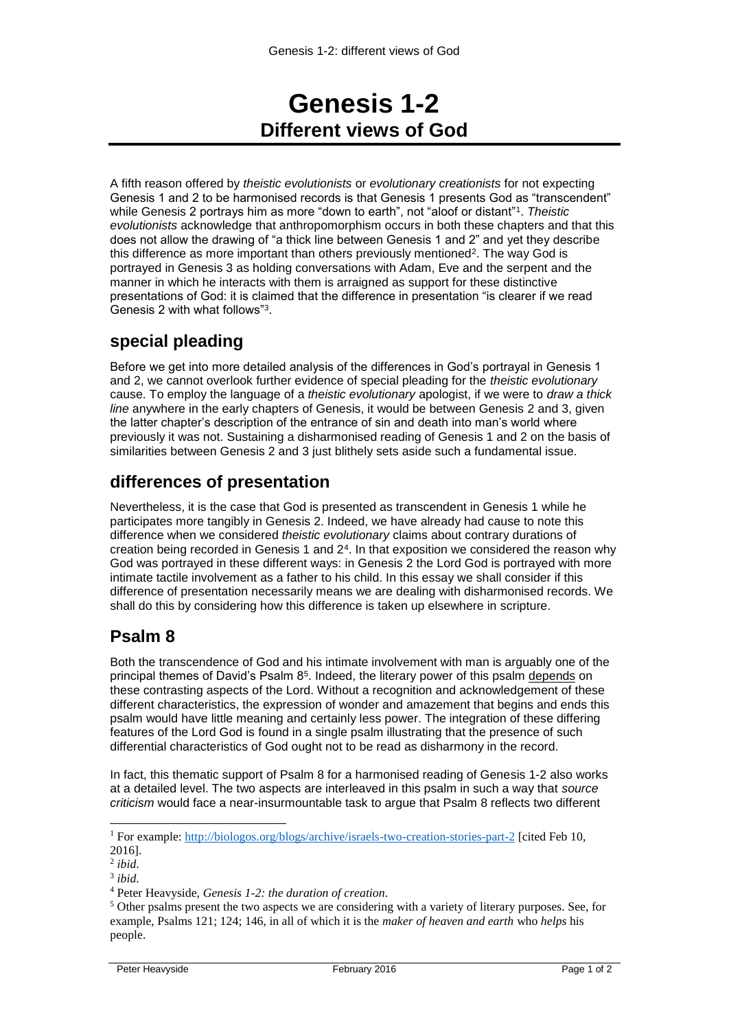# **Genesis 1-2 Different views of God**

A fifth reason offered by *theistic evolutionists* or *evolutionary creationists* for not expecting Genesis 1 and 2 to be harmonised records is that Genesis 1 presents God as "transcendent" while Genesis 2 portrays him as more "down to earth", not "aloof or distant"<sup>1</sup> . *Theistic evolutionists* acknowledge that anthropomorphism occurs in both these chapters and that this does not allow the drawing of "a thick line between Genesis 1 and 2" and yet they describe this difference as more important than others previously mentioned<sup>2</sup>. The way God is portrayed in Genesis 3 as holding conversations with Adam, Eve and the serpent and the manner in which he interacts with them is arraigned as support for these distinctive presentations of God: it is claimed that the difference in presentation "is clearer if we read Genesis 2 with what follows"<sup>3</sup> .

### **special pleading**

Before we get into more detailed analysis of the differences in God's portrayal in Genesis 1 and 2, we cannot overlook further evidence of special pleading for the *theistic evolutionary*  cause. To employ the language of a *theistic evolutionary* apologist, if we were to *draw a thick line* anywhere in the early chapters of Genesis, it would be between Genesis 2 and 3, given the latter chapter's description of the entrance of sin and death into man's world where previously it was not. Sustaining a disharmonised reading of Genesis 1 and 2 on the basis of similarities between Genesis 2 and 3 just blithely sets aside such a fundamental issue.

### **differences of presentation**

Nevertheless, it is the case that God is presented as transcendent in Genesis 1 while he participates more tangibly in Genesis 2. Indeed, we have already had cause to note this difference when we considered *theistic evolutionary* claims about contrary durations of creation being recorded in Genesis 1 and 2<sup>4</sup> . In that exposition we considered the reason why God was portrayed in these different ways: in Genesis 2 the Lord God is portrayed with more intimate tactile involvement as a father to his child. In this essay we shall consider if this difference of presentation necessarily means we are dealing with disharmonised records. We shall do this by considering how this difference is taken up elsewhere in scripture.

## **Psalm 8**

Both the transcendence of God and his intimate involvement with man is arguably one of the principal themes of David's Psalm 8<sup>5</sup>. Indeed, the literary power of this psalm depends on these contrasting aspects of the Lord. Without a recognition and acknowledgement of these different characteristics, the expression of wonder and amazement that begins and ends this psalm would have little meaning and certainly less power. The integration of these differing features of the Lord God is found in a single psalm illustrating that the presence of such differential characteristics of God ought not to be read as disharmony in the record.

In fact, this thematic support of Psalm 8 for a harmonised reading of Genesis 1-2 also works at a detailed level. The two aspects are interleaved in this psalm in such a way that *source criticism* would face a near-insurmountable task to argue that Psalm 8 reflects two different

1

<sup>&</sup>lt;sup>1</sup> For example:<http://biologos.org/blogs/archive/israels-two-creation-stories-part-2> [cited Feb 10, 2016].

<sup>2</sup> *ibid*.

<sup>3</sup> *ibid*.

<sup>4</sup> Peter Heavyside, *Genesis 1-2: the duration of creation*.

<sup>5</sup> Other psalms present the two aspects we are considering with a variety of literary purposes. See, for example, Psalms 121; 124; 146, in all of which it is the *maker of heaven and earth* who *helps* his people.